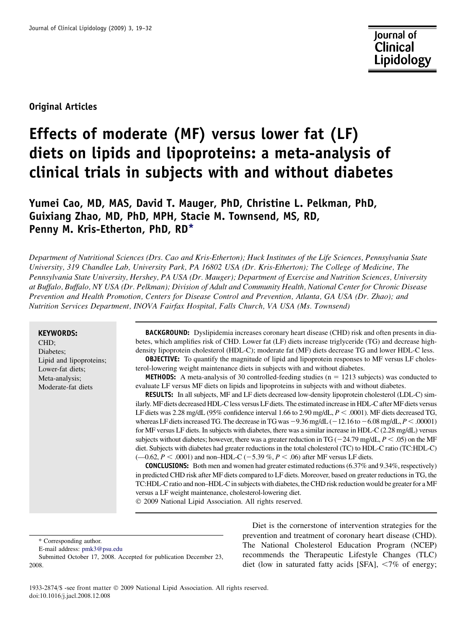Original Articles

# Effects of moderate (MF) versus lower fat (LF) diets on lipids and lipoproteins: a meta-analysis of clinical trials in subjects with and without diabetes

## Yumei Cao, MD, MAS, David T. Mauger, PhD, Christine L. Pelkman, PhD, Guixiang Zhao, MD, PhD, MPH, Stacie M. Townsend, MS, RD, Penny M. Kris-Etherton, PhD, RD\*

Department of Nutritional Sciences (Drs. Cao and Kris-Etherton); Huck Institutes of the Life Sciences, Pennsylvania State University, 319 Chandlee Lab, University Park, PA 16802 USA (Dr. Kris-Etherton); The College of Medicine, The Pennsylvania State University, Hershey, PA USA (Dr. Mauger); Department of Exercise and Nutrition Sciences, University at Buffalo, Buffalo, NY USA (Dr. Pelkman); Division of Adult and Community Health, National Center for Chronic Disease Prevention and Health Promotion, Centers for Disease Control and Prevention, Atlanta, GA USA (Dr. Zhao); and Nutrition Services Department, INOVA Fairfax Hospital, Falls Church, VA USA (Ms. Townsend)

#### KEYWORDS:

CHD; Diabetes; Lipid and lipoproteins; Lower-fat diets; Meta-analysis; Moderate-fat diets

BACKGROUND: Dyslipidemia increases coronary heart disease (CHD) risk and often presents in diabetes, which amplifies risk of CHD. Lower fat (LF) diets increase triglyceride (TG) and decrease highdensity lipoprotein cholesterol (HDL-C); moderate fat (MF) diets decrease TG and lower HDL-C less. **OBJECTIVE:** To quantify the magnitude of lipid and lipoprotein responses to MF versus LF choles-

terol-lowering weight maintenance diets in subjects with and without diabetes.

**METHODS:** A meta-analysis of 30 controlled-feeding studies ( $n = 1213$  subjects) was conducted to evaluate LF versus MF diets on lipids and lipoproteins in subjects with and without diabetes.

RESULTS: In all subjects, MF and LF diets decreased low-density lipoprotein cholesterol (LDL-C) similarly. MF diets decreased HDL-C less versus LF diets. The estimated increase in HDL-C after MF diets versus LF diets was 2.28 mg/dL (95% confidence interval 1.66 to 2.90 mg/dL,  $P < .0001$ ). MF diets decreased TG, whereas LF diets increased TG. The decrease in TG was  $-9.36$  mg/dL ( $-12.16$  to  $-6.08$  mg/dL,  $P < .00001$ ) for MF versus LF diets. In subjects with diabetes, there was a similar increase in HDL-C (2.28 mg/dL) versus subjects without diabetes; however, there was a greater reduction in TG ( $-24.79$  mg/dL,  $P \le .05$ ) on the MF diet. Subjects with diabetes had greater reductions in the total cholesterol (TC) to HDL-C ratio (TC:HDL-C)  $(-0.62, P < .0001)$  and non–HDL-C (-5.39 %, P < .06) after MF versus LF diets.

CONCLUSIONS: Both men and women had greater estimated reductions (6.37% and 9.34%, respectively) in predicted CHD risk after MF diets compared to LF diets. Moreover, based on greater reductions in TG, the TC:HDL-C ratio and non–HDL-C in subjects with diabetes, the CHD risk reduction would be greater for a MF versus a LF weight maintenance, cholesterol-lowering diet.

- 2009 National Lipid Association. All rights reserved.

\* Corresponding author.

Diet is the cornerstone of intervention strategies for the prevention and treatment of coronary heart disease (CHD). The National Cholesterol Education Program (NCEP) recommends the Therapeutic Lifestyle Changes (TLC) diet (low in saturated fatty acids [SFA],  $\langle 7\% \rangle$  of energy;

E-mail address: [pmk3@psu.edu](mailto:pmk3@psu.edu)

Submitted October 17, 2008. Accepted for publication December 23, 2008.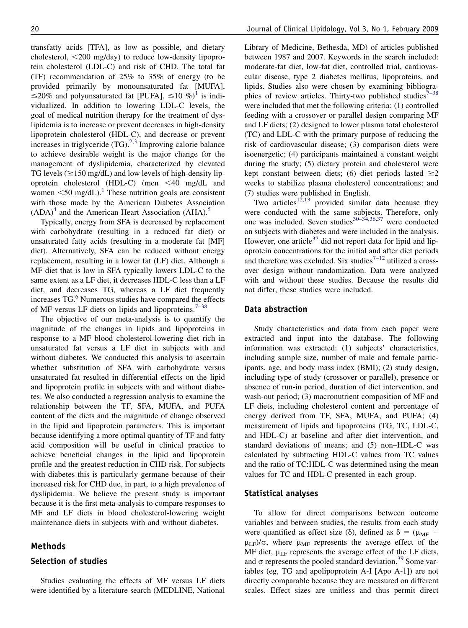transfatty acids [TFA], as low as possible, and dietary cholesterol,  $\langle 200 \rangle$  mg/day) to reduce low-density lipoprotein cholesterol (LDL-C) and risk of CHD. The total fat (TF) recommendation of 25% to 35% of energy (to be provided primarily by monounsaturated fat [MUFA],  $\leq$ 20% and polyunsaturated fat [PUFA],  $\leq$ [1](#page-11-0)0 %)<sup>1</sup> is individualized. In addition to lowering LDL-C levels, the goal of medical nutrition therapy for the treatment of dyslipidemia is to increase or prevent decreases in high-density lipoprotein cholesterol (HDL-C), and decrease or prevent increases in triglyceride  $(TG)$ <sup>2,3</sup> Improving calorie balance to achieve desirable weight is the major change for the management of dyslipidemia, characterized by elevated TG levels  $(\geq 150 \text{ mg/dL})$  and low levels of high-density lipoprotein cholesterol (HDL-C) (men  $\leq 40$  mg/dL and women  $\leq 50$  mg/dL).<sup>[1](#page-11-0)</sup> These nutrition goals are consistent with those made by the American Diabetes Association  $(ADA)^4$  $(ADA)^4$  and the American Heart Association  $(AHA)$ <sup>[5](#page-11-0)</sup>

Typically, energy from SFA is decreased by replacement with carbohydrate (resulting in a reduced fat diet) or unsaturated fatty acids (resulting in a moderate fat [MF] diet). Alternatively, SFA can be reduced without energy replacement, resulting in a lower fat (LF) diet. Although a MF diet that is low in SFA typically lowers LDL-C to the same extent as a LF diet, it decreases HDL-C less than a LF diet, and decreases TG, whereas a LF diet frequently increases  $TG<sup>6</sup>$  Numerous studies have compared the effects of MF versus LF diets on lipids and lipoproteins.<sup>[7–38](#page-11-0)</sup>

The objective of our meta-analysis is to quantify the magnitude of the changes in lipids and lipoproteins in response to a MF blood cholesterol-lowering diet rich in unsaturated fat versus a LF diet in subjects with and without diabetes. We conducted this analysis to ascertain whether substitution of SFA with carbohydrate versus unsaturated fat resulted in differential effects on the lipid and lipoprotein profile in subjects with and without diabetes. We also conducted a regression analysis to examine the relationship between the TF, SFA, MUFA, and PUFA content of the diets and the magnitude of change observed in the lipid and lipoprotein parameters. This is important because identifying a more optimal quantity of TF and fatty acid composition will be useful in clinical practice to achieve beneficial changes in the lipid and lipoprotein profile and the greatest reduction in CHD risk. For subjects with diabetes this is particularly germane because of their increased risk for CHD due, in part, to a high prevalence of dyslipidemia. We believe the present study is important because it is the first meta-analysis to compare responses to MF and LF diets in blood cholesterol-lowering weight maintenance diets in subjects with and without diabetes.

#### Methods

#### Selection of studies

Studies evaluating the effects of MF versus LF diets were identified by a literature search (MEDLINE, National Library of Medicine, Bethesda, MD) of articles published between 1987 and 2007. Keywords in the search included: moderate-fat diet, low-fat diet, controlled trial, cardiovascular disease, type 2 diabetes mellitus, lipoproteins, and lipids. Studies also were chosen by examining bibliographies of review articles. Thirty-two published studies $7-38$ were included that met the following criteria: (1) controlled feeding with a crossover or parallel design comparing MF and LF diets; (2) designed to lower plasma total cholesterol (TC) and LDL-C with the primary purpose of reducing the risk of cardiovascular disease; (3) comparison diets were isoenergetic; (4) participants maintained a constant weight during the study; (5) dietary protein and cholesterol were kept constant between diets; (6) diet periods lasted  $\geq 2$ weeks to stabilize plasma cholesterol concentrations; and (7) studies were published in English.

Two articles<sup>[12,13](#page-12-0)</sup> provided similar data because they were conducted with the same subjects. Therefore, only one was included. Seven studies $30-34,36,37$  were conducted on subjects with diabetes and were included in the analysis. However, one article $37$  did not report data for lipid and lipoprotein concentrations for the initial and after diet periods and therefore was excluded. Six studies<sup> $7-12$ </sup> utilized a crossover design without randomization. Data were analyzed with and without these studies. Because the results did not differ, these studies were included.

#### Data abstraction

Study characteristics and data from each paper were extracted and input into the database. The following information was extracted: (1) subjects' characteristics, including sample size, number of male and female participants, age, and body mass index (BMI); (2) study design, including type of study (crossover or parallel), presence or absence of run-in period, duration of diet intervention, and wash-out period; (3) macronutrient composition of MF and LF diets, including cholesterol content and percentage of energy derived from TF, SFA, MUFA, and PUFA; (4) measurement of lipids and lipoproteins (TG, TC, LDL-C, and HDL-C) at baseline and after diet intervention, and standard deviations of means; and (5) non–HDL-C was calculated by subtracting HDL-C values from TC values and the ratio of TC:HDL-C was determined using the mean values for TC and HDL-C presented in each group.

#### Statistical analyses

To allow for direct comparisons between outcome variables and between studies, the results from each study were quantified as effect size ( $\delta$ ), defined as  $\delta = (\mu_{MF} \mu_{LF}$ / $\sigma$ , where  $\mu_{MF}$  represents the average effect of the MF diet,  $\mu_{LF}$  represents the average effect of the LF diets, and  $\sigma$  represents the pooled standard deviation.<sup>[39](#page-12-0)</sup> Some variables (eg, TG and apolipoprotein A-I [Apo A-1]) are not directly comparable because they are measured on different scales. Effect sizes are unitless and thus permit direct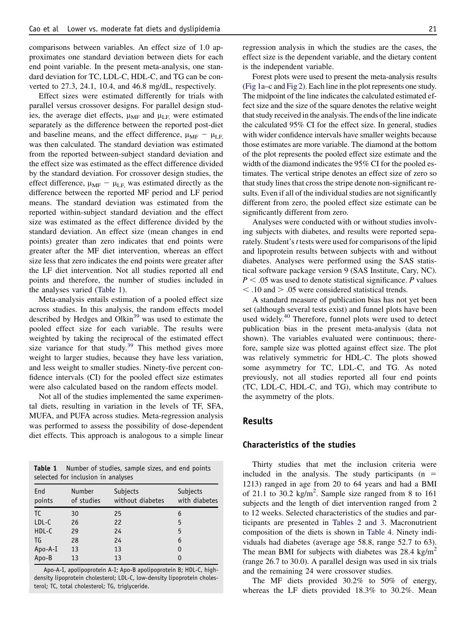comparisons between variables. An effect size of 1.0 approximates one standard deviation between diets for each end point variable. In the present meta-analysis, one standard deviation for TC, LDL-C, HDL-C, and TG can be converted to 27.3, 24.1, 10.4, and 46.8 mg/dL, respectively.

Effect sizes were estimated differently for trials with parallel versus crossover designs. For parallel design studies, the average diet effects,  $\mu_{MF}$  and  $\mu_{LF}$  were estimated separately as the difference between the reported post-diet and baseline means, and the effect difference,  $\mu_{\text{MF}} - \mu_{\text{LF}}$ was then calculated. The standard deviation was estimated from the reported between-subject standard deviation and the effect size was estimated as the effect difference divided by the standard deviation. For crossover design studies, the effect difference,  $\mu_{MF} - \mu_{LF}$ , was estimated directly as the difference between the reported MF period and LF period means. The standard deviation was estimated from the reported within-subject standard deviation and the effect size was estimated as the effect difference divided by the standard deviation. An effect size (mean changes in end points) greater than zero indicates that end points were greater after the MF diet intervention, whereas an effect size less that zero indicates the end points were greater after the LF diet intervention. Not all studies reported all end points and therefore, the number of studies included in the analyses varied (Table 1).

Meta-analysis entails estimation of a pooled effect size across studies. In this analysis, the random effects model described by Hedges and Olkin<sup>[39](#page-12-0)</sup> was used to estimate the pooled effect size for each variable. The results were weighted by taking the reciprocal of the estimated effect size variance for that study. $39$  This method gives more weight to larger studies, because they have less variation, and less weight to smaller studies. Ninety-five percent confidence intervals (CI) for the pooled effect size estimates were also calculated based on the random effects model.

Not all of the studies implemented the same experimental diets, resulting in variation in the levels of TF, SFA, MUFA, and PUFA across studies. Meta-regression analysis was performed to assess the possibility of dose-dependent diet effects. This approach is analogous to a simple linear

| <b>Table 1</b> Number of studies, sample sizes, and end points |  |  |  |
|----------------------------------------------------------------|--|--|--|
| selected for inclusion in analyses                             |  |  |  |

| End<br>points | <b>Number</b><br>of studies | Subjects<br>without diabetes | Subjects<br>with diabetes |
|---------------|-----------------------------|------------------------------|---------------------------|
| <b>TC</b>     | 30                          | 25                           | 6                         |
| LDL-C         | 26                          | 22                           | 5                         |
| HDL-C         | 29                          | 24                           | 5                         |
| TG            | 28                          | 24                           | 6                         |
| Apo-A-I       | 13                          | 13                           | 0                         |
| Apo-B         | 13                          | 13                           | 0                         |
|               |                             |                              |                           |

Apo-A-I, apolipoprotein A-I; Apo-B apolipoprotein B; HDL-C, highdensity lipoprotein cholesterol; LDL-C, low-density lipoprotein cholesterol; TC, total cholesterol; TG, triglyceride.

regression analysis in which the studies are the cases, the effect size is the dependent variable, and the dietary content is the independent variable.

Forest plots were used to present the meta-analysis results [\(Fig 1a](#page-3-0)–c and [Fig 2\)](#page-4-0). Each line in the plot represents one study. The midpoint of the line indicates the calculated estimated effect size and the size of the square denotes the relative weight that study received in the analysis. The ends of the line indicate the calculated 95% CI for the effect size. In general, studies with wider confidence intervals have smaller weights because those estimates are more variable. The diamond at the bottom of the plot represents the pooled effect size estimate and the width of the diamond indicates the 95% CI for the pooled estimates. The vertical stripe denotes an effect size of zero so that study lines that cross the stripe denote non-significant results. Even if all of the individual studies are not significantly different from zero, the pooled effect size estimate can be significantly different from zero.

Analyses were conducted with or without studies involving subjects with diabetes, and results were reported separately. Student's *t* tests were used for comparisons of the lipid and lipoprotein results between subjects with and without diabetes. Analyses were performed using the SAS statistical software package version 9 (SAS Institute, Cary, NC).  $P < .05$  was used to denote statistical significance. P values  $\langle$  .10 and  $\rangle$  .05 were considered statistical trends.

A standard measure of publication bias has not yet been set (although several tests exist) and funnel plots have been used widely.<sup>[40](#page-12-0)</sup> Therefore, funnel plots were used to detect publication bias in the present meta-analysis (data not shown). The variables evaluated were continuous; therefore, sample size was plotted against effect size. The plot was relatively symmetric for HDL-C. The plots showed some asymmetry for TC, LDL-C, and TG. As noted previously, not all studies reported all four end points (TC, LDL-C, HDL-C, and TG), which may contribute to the asymmetry of the plots.

#### Results

## Characteristics of the studies

Thirty studies that met the inclusion criteria were included in the analysis. The study participants  $(n =$ 1213) ranged in age from 20 to 64 years and had a BMI of 21.1 to 30.2  $\text{kg/m}^2$ . Sample size ranged from 8 to 161 subjects and the length of diet intervention ranged from 2 to 12 weeks. Selected characteristics of the studies and participants are presented in [Tables 2 and 3.](#page-5-0) Macronutrient composition of the diets is shown in [Table 4.](#page-6-0) Ninety individuals had diabetes (average age 58.8, range 52.7 to 63). The mean BMI for subjects with diabetes was  $28.4 \text{ kg/m}^2$ (range 26.7 to 30.0). A parallel design was used in six trials and the remaining 24 were crossover studies.

The MF diets provided 30.2% to 50% of energy, whereas the LF diets provided 18.3% to 30.2%. Mean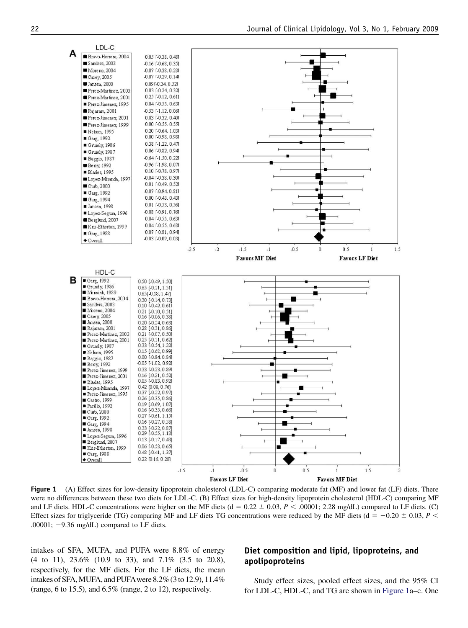<span id="page-3-0"></span>

Figure 1 (A) Effect sizes for low-density lipoprotein cholesterol (LDL-C) comparing moderate fat (MF) and lower fat (LF) diets. There were no differences between these two diets for LDL-C. (B) Effect sizes for high-density lipoprotein cholesterol (HDL-C) comparing MF and LF diets. HDL-C concentrations were higher on the MF diets ( $d = 0.22 \pm 0.03$ ,  $P < .00001$ ; 2.28 mg/dL) compared to LF diets. (C) Effect sizes for triglyceride (TG) comparing MF and LF diets TG concentrations were reduced by the MF diets ( $d = -0.20 \pm 0.03$ ,  $P <$ .00001;  $-9.36$  mg/dL) compared to LF diets.

intakes of SFA, MUFA, and PUFA were 8.8% of energy (4 to 11), 23.6% (10.9 to 33), and 7.1% (3.5 to 20.8), respectively, for the MF diets. For the LF diets, the mean intakes of SFA,MUFA, and PUFAwere 8.2% (3to 12.9), 11.4% (range, 6 to 15.5), and 6.5% (range, 2 to 12), respectively.

## Diet composition and lipid, lipoproteins, and apolipoproteins

Study effect sizes, pooled effect sizes, and the 95% CI for LDL-C, HDL-C, and TG are shown in Figure 1a–c. One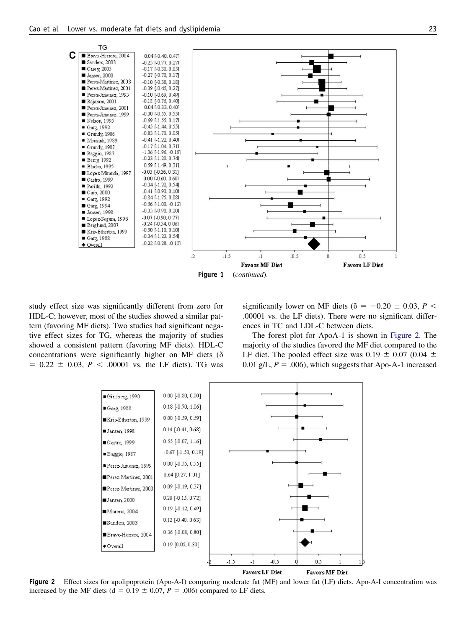<span id="page-4-0"></span>

Figure 1 (continued).

study effect size was significantly different from zero for HDL-C; however, most of the studies showed a similar pattern (favoring MF diets). Two studies had significant negative effect sizes for TG, whereas the majority of studies showed a consistent pattern (favoring MF diets). HDL-C concentrations were significantly higher on MF diets  $(\delta$  $= 0.22 \pm 0.03$ ,  $P < .00001$  vs. the LF diets). TG was

significantly lower on MF diets ( $\delta = -0.20 \pm 0.03$ ,  $P <$ .00001 vs. the LF diets). There were no significant differences in TC and LDL-C between diets.

The forest plot for ApoA-1 is shown in Figure 2. The majority of the studies favored the MF diet compared to the LF diet. The pooled effect size was 0.19  $\pm$  0.07 (0.04  $\pm$ 0.01 g/L,  $P = .006$ ), which suggests that Apo-A-1 increased



Figure 2 Effect sizes for apolipoprotein (Apo-A-I) comparing moderate fat (MF) and lower fat (LF) diets. Apo-A-I concentration was increased by the MF diets (d = 0.19  $\pm$  0.07, P = .006) compared to LF diets.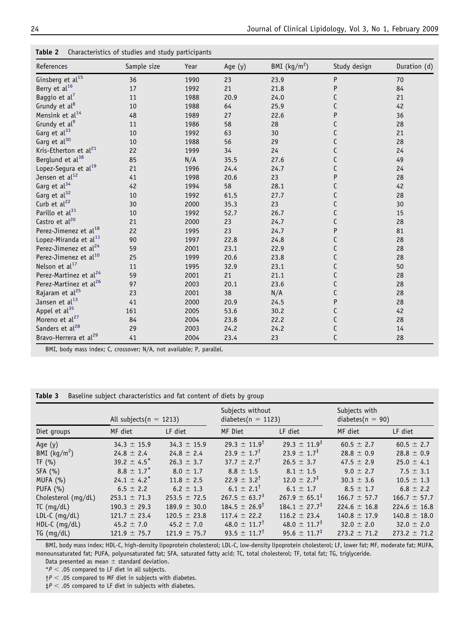<span id="page-5-0"></span>Table 2 Characteristics of studies and study participants

| References                         | Sample size | Year | Age (y) | BMI $(kg/m2)$ | Study design | Duration (d) |
|------------------------------------|-------------|------|---------|---------------|--------------|--------------|
| Ginsberg et $al^{15}$              | 36          | 1990 | 23      | 23.9          | P            | 70           |
| Berry et al <sup>16</sup>          | 17          | 1992 | 21      | 21.8          | P            | 84           |
| Baggio et $al^7$                   | 11          | 1988 | 20.9    | 24.0          | C            | 21           |
| Grundy et al <sup>8</sup>          | 10          | 1988 | 64      | 25.9          | C            | 42           |
| Mensink et al <sup>14</sup>        | 48          | 1989 | 27      | 22.6          | P            | 36           |
| Grundy et al <sup>9</sup>          | 11          | 1986 | 58      | 28            | C            | 28           |
| Garg et al <sup>33</sup>           | 10          | 1992 | 63      | 30            | С            | 21           |
| Garg et al <sup>30</sup>           | 10          | 1988 | 56      | 29            | C            | 28           |
| Kris-Etherton et al <sup>21</sup>  | 22          | 1999 | 34      | 24            | C            | 24           |
| Berglund et al <sup>38</sup>       | 85          | N/A  | 35.5    | 27.6          | С            | 49           |
| Lopez-Segura et al <sup>19</sup>   | 21          | 1996 | 24.4    | 24.7          | C            | 24           |
| Jensen et al <sup>12</sup>         | 41          | 1998 | 20.6    | 23            | P            | 28           |
| Garg et al <sup>34</sup>           | 42          | 1994 | 58      | 28.1          | С            | 42           |
| Garg et al <sup>32</sup>           | 10          | 1992 | 61.5    | 27.7          | C            | 28           |
| Curb et al <sup>22</sup>           | 30          | 2000 | 35.3    | 23            | C            | 30           |
| Parillo et al <sup>31</sup>        | 10          | 1992 | 52.7    | 26.7          | C            | 15           |
| Castro et al <sup>20</sup>         | 21          | 2000 | 23      | 24.7          | C            | 28           |
| Perez-Jimenez et al <sup>18</sup>  | 22          | 1995 | 23      | 24.7          | P            | 81           |
| Lopez-Miranda et al <sup>11</sup>  | 90          | 1997 | 22.8    | 24.8          | C            | 28           |
| Perez-Jimenez et al <sup>24</sup>  | 59          | 2001 | 23.1    | 22.9          | С            | 28           |
| Perez-Jimenez et al <sup>10</sup>  | 25          | 1999 | 20.6    | 23.8          | C            | 28           |
| Nelson et al <sup>17</sup>         | 11          | 1995 | 32.9    | 23.1          | C            | 50           |
| Perez-Martinez et al <sup>24</sup> | 59          | 2001 | 21      | 21.1          | С            | 28           |
| Perez-Martinez et al <sup>26</sup> | 97          | 2003 | 20.1    | 23.6          | C            | 28           |
| Rajaram et al <sup>25</sup>        | 23          | 2001 | 38      | N/A           | C            | 28           |
| Jansen et al <sup>13</sup>         | 41          | 2000 | 20.9    | 24.5          | P            | 28           |
| Appel et al <sup>35</sup>          | 161         | 2005 | 53.6    | 30.2          | С            | 42           |
| Moreno et al <sup>27</sup>         | 84          | 2004 | 23.8    | 22.2          | С            | 28           |
| Sanders et al <sup>28</sup>        | 29          | 2003 | 24.2    | 24.2          | C            | 14           |
| Bravo-Herrera et al <sup>29</sup>  | 41          | 2004 | 23.4    | 23            | C            | 28           |

BMI, body mass index; C, crossover; N/A, not available; P, parallel.

Table 3 Baseline subject characteristics and fat content of diets by group

|                     | All subjects ( $n = 1213$ ) |                  | Subjects without<br>$diabetes(n = 1123)$ |                             | Subjects with<br>diabetes( $n = 90$ ) |                  |  |
|---------------------|-----------------------------|------------------|------------------------------------------|-----------------------------|---------------------------------------|------------------|--|
| Diet groups         | MF diet                     | LF diet          | MF Diet                                  | LF diet                     | MF diet                               | LF diet          |  |
| Age (y)             | $34.3 \pm 15.9$             | $34.3 \pm 15.9$  | $29.3 \pm 11.9$ <sup>t</sup>             | $29.3 \pm 11.9^{\ddagger}$  | $60.5 \pm 2.7$                        | $60.5 \pm 2.7$   |  |
| BMI $(kg/m2)$       | $24.8 \pm 2.4$              | $24.8 \pm 2.4$   | $23.9 \pm 1.7$ <sup>†</sup>              | $23.9 \pm 1.7^{\ddagger}$   | $28.8 \pm 0.9$                        | $28.8 \pm 0.9$   |  |
| TF(%)               | 39.2 $\pm$ 4.5 <sup>*</sup> | $26.3 \pm 3.7$   | $37.7 \pm 2.7^{\dagger}$                 | $26.5 \pm 3.7$              | 47.5 $\pm$ 2.9                        | $25.0 \pm 4.1$   |  |
| SFA(%)              | $8.8 \pm 1.7^*$             | $8.0 \pm 1.7$    | $8.8 \pm 1.5$                            | $8.1 \pm 1.5$               | $9.0 \pm 2.7$                         | $7.5 \pm 3.1$    |  |
| MUFA (%)            | $24.1 \pm 4.2^*$            | $11.8 \pm 2.5$   | $22.9 \pm 3.2^{\dagger}$                 | $12.0 \pm 2.7^{\ddagger}$   | $30.3 \pm 3.6$                        | $10.5 \pm 1.3$   |  |
| PUFA $(% )$         | $6.5 \pm 2.2$               | $6.2 \pm 1.3$    | $6.1 \pm 2.1^{\dagger}$                  | $6.1 \pm 1.7$               | $8.5 \pm 1.7$                         | $6.8 \pm 2.2$    |  |
| Cholesterol (mg/dL) | $253.1 \pm 71.3$            | $253.5 \pm 72.5$ | $267.5 \pm 63.7^3$                       | $267.9 \pm 65.1^{\ddagger}$ | $166.7 \pm 57.7$                      | $166.7 \pm 57.7$ |  |
| $TC$ (mg/dL)        | $190.3 \pm 29.3$            | $189.9 \pm 30.0$ | $184.5 \pm 26.9^{\dagger}$               | $184.1 \pm 27.7^{\ddagger}$ | $224.6 \pm 16.8$                      | 224.6 $\pm$ 16.8 |  |
| $LDL-C (mg/dL)$     | $121.7 \pm 23.4$            | $120.5 \pm 23.8$ | $117.4 \pm 22.2$                         | $116.2 \pm 23.4$            | $140.8 \pm 17.9$                      | $140.8 \pm 18.0$ |  |
| $HDL-C$ (mg/dL)     | 45.2 $\pm$ 7.0              | 45.2 $\pm$ 7.0   | 48.0 $\pm$ 11.7 <sup>†</sup>             | $48.0 \pm 11.7^{\ddagger}$  | $32.0 \pm 2.0$                        | $32.0 \pm 2.0$   |  |
| TG (mq/dL)          | $121.9 \pm 75.7$            | $121.9 \pm 75.7$ | $93.5 \pm 11.7^{\dagger}$                | $95.6 \pm 11.7^{\ddagger}$  | $273.2 \pm 71.2$                      | $273.2 \pm 71.2$ |  |

BMI, body mass index; HDL-C, high-density lipoprotein cholesterol; LDL-C, low-density lipoprotein cholesterol; LF, lower fat; MF, moderate fat; MUFA, monounsaturated fat; PUFA, polyunsaturated fat; SFA, saturated fatty acid; TC, total cholesterol; TF, total fat; TG, triglyceride.

Data presented as mean  $\pm$  standard deviation.

 $*P < .05$  compared to LF diet in all subjects.  $\uparrow$  P < .05 compared to MF diet in subjects with diabetes.

 $\sharp P < .05$  compared to LF diet in subjects with diabetes.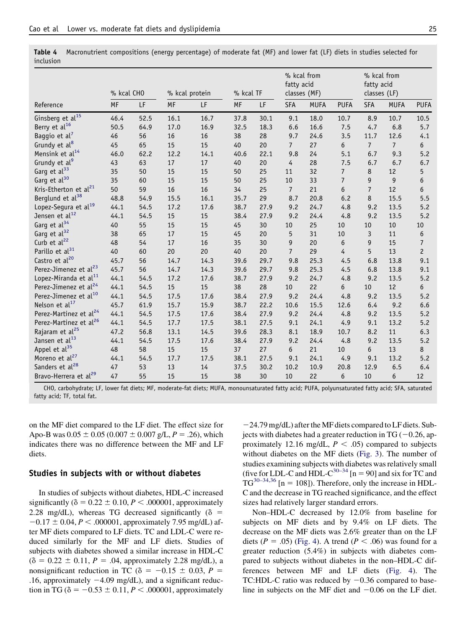|                                    | % kcal CHO |      | % kcal protein |      | % kcal TF |      | % kcal from<br>fatty acid<br>classes (MF) |             | % kcal from<br>fatty acid<br>classes (LF) |                |                |                  |
|------------------------------------|------------|------|----------------|------|-----------|------|-------------------------------------------|-------------|-------------------------------------------|----------------|----------------|------------------|
| Reference                          | MF         | LF   | MF             | LF   | MF        | LF   | <b>SFA</b>                                | <b>MUFA</b> | <b>PUFA</b>                               | <b>SFA</b>     | <b>MUFA</b>    | <b>PUFA</b>      |
| Ginsberg et $al^{15}$              | 46.4       | 52.5 | 16.1           | 16.7 | 37.8      | 30.1 | 9.1                                       | 18.0        | 10.7                                      | 8.9            | 10.7           | 10.5             |
| Berry et al <sup>16</sup>          | 50.5       | 64.9 | 17.0           | 16.9 | 32.5      | 18.3 | 6.6                                       | 16.6        | 7.5                                       | 4.7            | 6.8            | 5.7              |
| Baggio et al <sup>7</sup>          | 46         | 56   | 16             | 16   | 38        | 28   | 9.7                                       | 24.6        | 3.5                                       | 11.7           | 12.6           | 4.1              |
| Grundy et al <sup>8</sup>          | 45         | 65   | 15             | 15   | 40        | 20   | $\overline{7}$                            | 27          | 6                                         | $\overline{7}$ | $\overline{7}$ | 6                |
| Mensink et al <sup>14</sup>        | 46.0       | 62.2 | 12.2           | 14.1 | 40.6      | 22.1 | 9.8                                       | 24          | 5.1                                       | 6.7            | 9.3            | $5.2$            |
| Grundy et al <sup>9</sup>          | 43         | 63   | 17             | 17   | 40        | 20   | 4                                         | 28          | 7.5                                       | 6.7            | 6.7            | 6.7              |
| Garg et al <sup>33</sup>           | 35         | 50   | 15             | 15   | 50        | 25   | 11                                        | 32          | $\overline{7}$                            | 8              | 12             | 5                |
| Garg et al <sup>30</sup>           | 35         | 60   | 15             | 15   | 50        | 25   | 10                                        | 33          | $\overline{7}$                            | 9              | $\overline{9}$ | 6                |
| Kris-Etherton et al <sup>21</sup>  | 50         | 59   | 16             | 16   | 34        | 25   | $\overline{7}$                            | 21          | 6                                         | $\overline{7}$ | 12             | $\sqrt{6}$       |
| Berglund et al <sup>38</sup>       | 48.8       | 54.9 | 15.5           | 16.1 | 35.7      | 29   | 8.7                                       | 20.8        | 6.2                                       | 8              | 15.5           | 5.5              |
| Lopez-Segura et al <sup>19</sup>   | 44.1       | 54.5 | 17.2           | 17.6 | 38.7      | 27.9 | 9.2                                       | 24.7        | 4.8                                       | 9.2            | 13.5           | $5.2$            |
| Jensen et al <sup>12</sup>         | 44.1       | 54.5 | 15             | 15   | 38.4      | 27.9 | 9.2                                       | 24.4        | 4.8                                       | 9.2            | 13.5           | $5.2$            |
| Garg et al <sup>34</sup>           | 40         | 55   | 15             | 15   | 45        | 30   | 10                                        | 25          | 10                                        | 10             | 10             | 10               |
| Garg et al <sup>32</sup>           | 38         | 65   | 17             | 15   | 45        | 20   | 5                                         | 31          | 10                                        | 3              | 11             | 6                |
| Curb et al <sup>22</sup>           | 48         | 54   | 17             | 16   | 35        | 30   | 9                                         | 20          | 6                                         | 9              | 15             | $\boldsymbol{7}$ |
| Parillo et al <sup>31</sup>        | 40         | 60   | 20             | 20   | 40        | 20   | $\overline{7}$                            | 29          | 4                                         | 5              | 13             | $\overline{c}$   |
| Castro et al <sup>20</sup>         | 45.7       | 56   | 14.7           | 14.3 | 39.6      | 29.7 | 9.8                                       | 25.3        | 4.5                                       | 6.8            | 13.8           | 9.1              |
| Perez-Jimenez et al <sup>23</sup>  | 45.7       | 56   | 14.7           | 14.3 | 39.6      | 29.7 | 9.8                                       | 25.3        | 4.5                                       | 6.8            | 13.8           | 9.1              |
| Lopez-Miranda et al <sup>11</sup>  | 44.1       | 54.5 | 17.2           | 17.6 | 38.7      | 27.9 | 9.2                                       | 24.7        | 4.8                                       | 9.2            | 13.5           | $5.2$            |
| Perez-Jimenez et al <sup>24</sup>  | 44.1       | 54.5 | 15             | 15   | 38        | 28   | 10                                        | 22          | 6                                         | 10             | 12             | $\boldsymbol{6}$ |
| Perez-Jimenez et al <sup>10</sup>  | 44.1       | 54.5 | 17.5           | 17.6 | 38.4      | 27.9 | 9.2                                       | 24.4        | 4.8                                       | 9.2            | 13.5           | 5.2              |
| Nelson et al <sup>17</sup>         | 45.7       | 61.9 | 15.7           | 15.9 | 38.7      | 22.2 | 10.6                                      | 15.5        | 12.6                                      | 6.4            | 9.2            | 6.6              |
| Perez-Martinez et al <sup>24</sup> | 44.1       | 54.5 | 17.5           | 17.6 | 38.4      | 27.9 | 9.2                                       | 24.4        | 4.8                                       | 9.2            | 13.5           | $5.2$            |
| Perez-Martinez et al <sup>26</sup> | 44.1       | 54.5 | 17.7           | 17.5 | 38.1      | 27.5 | 9.1                                       | 24.1        | 4.9                                       | 9.1            | 13.2           | 5.2              |
| Rajaram et al <sup>25</sup>        | 47.2       | 56.8 | 13.1           | 14.5 | 39.6      | 28.3 | 8.1                                       | 18.9        | 10.7                                      | 8.2            | 11             | 6.3              |
| Jansen et al <sup>13</sup>         | 44.1       | 54.5 | 17.5           | 17.6 | 38.4      | 27.9 | 9.2                                       | 24.4        | 4.8                                       | 9.2            | 13.5           | 5.2              |
| Appel et al <sup>35</sup>          | 48         | 58   | 15             | 15   | 37        | 27   | 6                                         | 21          | 10                                        | 6              | 13             | 8                |
| Moreno et al <sup>27</sup>         | 44.1       | 54.5 | 17.7           | 17.5 | 38.1      | 27.5 | 9.1                                       | 24.1        | 4.9                                       | 9.1            | 13.2           | $5.2$            |
| Sanders et al <sup>28</sup>        | 47         | 53   | 13             | 14   | 37.5      | 30.2 | 10.2                                      | 10.9        | 20.8                                      | 12.9           | 6.5            | 6.4              |
| Bravo-Herrera et al <sup>29</sup>  | 47         | 55   | 15             | 15   | 38        | 30   | 10                                        | 22          | 6                                         | 10             | 6              | 12               |

<span id="page-6-0"></span>Table 4 Macronutrient compositions (energy percentage) of moderate fat (MF) and lower fat (LF) diets in studies selected for inclusion

CHO, carbohydrate; LF, lower fat diets; MF, moderate-fat diets; MUFA, monounsaturated fatty acid; PUFA, polyunsaturated fatty acid; SFA, saturated fatty acid; TF, total fat.

on the MF diet compared to the LF diet. The effect size for Apo-B was  $0.05 \pm 0.05 (0.007 \pm 0.007 \text{ g/L}, P = .26)$ , which indicates there was no difference between the MF and LF diets.

#### Studies in subjects with or without diabetes

In studies of subjects without diabetes, HDL-C increased significantly ( $\delta = 0.22 \pm 0.10, P < .000001$ , approximately 2.28 mg/dL), whereas TG decreased significantly ( $\delta$  =  $-0.17 \pm 0.04$ ,  $P < .000001$ , approximately 7.95 mg/dL) after MF diets compared to LF diets. TC and LDL-C were reduced similarly for the MF and LF diets. Studies of subjects with diabetes showed a similar increase in HDL-C  $(\delta = 0.22 \pm 0.11, P = .04,$  approximately 2.28 mg/dL), a nonsignificant reduction in TC ( $\delta$  = -0.15  $\pm$  0.03, P = .16, approximately  $-4.09$  mg/dL), and a significant reduction in TG ( $\delta = -0.53 \pm 0.11, P < .000001$ , approximately

 $-24.79$  mg/dL) after the MF diets compared to LF diets. Subjects with diabetes had a greater reduction in TG ( $-0.26$ , approximately 12.16 mg/dL,  $P < .05$ ) compared to subjects without diabetes on the MF diets ([Fig. 3\)](#page-7-0). The number of studies examining subjects with diabetes was relatively small (five for LDL-C and HDL-C<sup>[30–34](#page-12-0)</sup> [n = 90] and six for TC and TG<sup>[30–34,36](#page-12-0)</sup> [n = 108]). Therefore, only the increase in HDL-C and the decrease in TG reached significance, and the effect sizes had relatively larger standard errors.

Non–HDL-C decreased by 12.0% from baseline for subjects on MF diets and by 9.4% on LF diets. The decrease on the MF diets was 2.6% greater than on the LF diets ( $P = .05$ ) [\(Fig. 4\)](#page-7-0). A trend ( $P < .06$ ) was found for a greater reduction (5.4%) in subjects with diabetes compared to subjects without diabetes in the non–HDL-C differences between MF and LF diets ([Fig. 4](#page-7-0)). The TC:HDL-C ratio was reduced by  $-0.36$  compared to baseline in subjects on the MF diet and  $-0.06$  on the LF diet.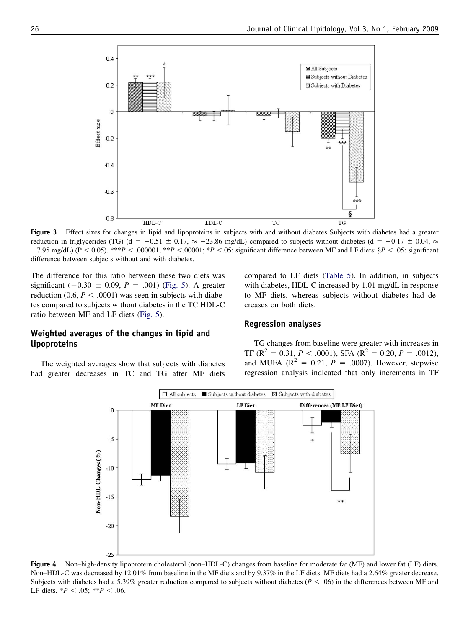<span id="page-7-0"></span>

Figure 3 Effect sizes for changes in lipid and lipoproteins in subjects with and without diabetes Subjects with diabetes had a greater reduction in triglycerides (TG) (d = -0.51  $\pm$  0.17,  $\approx$  -23.86 mg/dL) compared to subjects without diabetes (d = -0.17  $\pm$  0.04,  $\approx$  $-7.95$  mg/dL) (P < 0.05). \*\*\*P < .000001; \*\*P < .00001; \*P < .05: significant difference between MF and LF diets;  $\S P$  < .05: significant difference between subjects without and with diabetes.

The difference for this ratio between these two diets was significant  $(-0.30 \pm 0.09, P = .001)$  [\(Fig. 5](#page-8-0)). A greater reduction (0.6,  $P < .0001$ ) was seen in subjects with diabetes compared to subjects without diabetes in the TC:HDL-C ratio between MF and LF diets [\(Fig. 5](#page-8-0)).

## Weighted averages of the changes in lipid and lipoproteins

The weighted averages show that subjects with diabetes had greater decreases in TC and TG after MF diets compared to LF diets ([Table 5](#page-8-0)). In addition, in subjects with diabetes, HDL-C increased by 1.01 mg/dL in response to MF diets, whereas subjects without diabetes had decreases on both diets.

#### Regression analyses

TG changes from baseline were greater with increases in TF ( $\mathbb{R}^2 = 0.31$ ,  $P < .0001$ ), SFA ( $\mathbb{R}^2 = 0.20$ ,  $P = .0012$ ), and MUFA ( $R^2 = 0.21$ ,  $P = .0007$ ). However, stepwise regression analysis indicated that only increments in TF



Figure 4 Non–high-density lipoprotein cholesterol (non–HDL-C) changes from baseline for moderate fat (MF) and lower fat (LF) diets. Non–HDL-C was decreased by 12.01% from baseline in the MF diets and by 9.37% in the LF diets. MF diets had a 2.64% greater decrease. Subjects with diabetes had a 5.39% greater reduction compared to subjects without diabetes ( $P < .06$ ) in the differences between MF and LF diets.  $*P < .05$ ;  $**P < .06$ .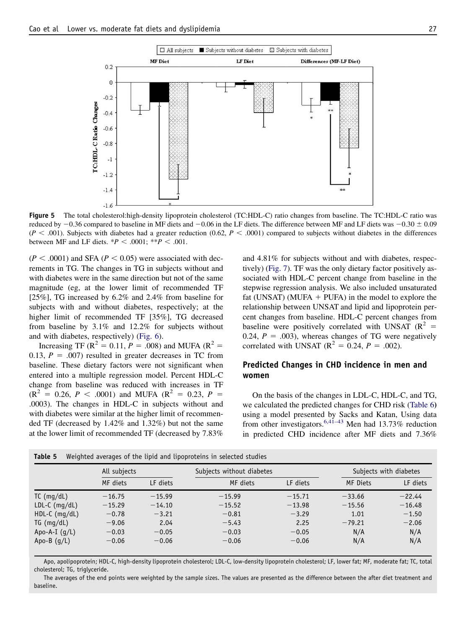<span id="page-8-0"></span>

Figure 5 The total cholesterol:high-density lipoprotein cholesterol (TC:HDL-C) ratio changes from baseline. The TC:HDL-C ratio was reduced by  $-0.36$  compared to baseline in MF diets and  $-0.06$  in the LF diets. The difference between MF and LF diets was  $-0.30 \pm 0.09$  $(P < .001)$ . Subjects with diabetes had a greater reduction (0.62, P < .0001) compared to subjects without diabetes in the differences between MF and LF diets.  $*P < .0001$ ;  $*P < .001$ .

 $(P < .0001)$  and SFA  $(P < 0.05)$  were associated with decrements in TG. The changes in TG in subjects without and with diabetes were in the same direction but not of the same magnitude (eg, at the lower limit of recommended TF [25%], TG increased by 6.2% and 2.4% from baseline for subjects with and without diabetes, respectively; at the higher limit of recommended TF [35%], TG decreased from baseline by 3.1% and 12.2% for subjects without and with diabetes, respectively) ([Fig. 6\)](#page-9-0).

Increasing TF ( $R^2 = 0.11$ ,  $P = .008$ ) and MUFA ( $R^2 =$ 0.13,  $P = .007$  resulted in greater decreases in TC from baseline. These dietary factors were not significant when entered into a multiple regression model. Percent HDL-C change from baseline was reduced with increases in TF  $(R^{2} = 0.26, P < .0001)$  and MUFA  $(R^{2} = 0.23, P =$ .0003). The changes in HDL-C in subjects without and with diabetes were similar at the higher limit of recommended TF (decreased by 1.42% and 1.32%) but not the same at the lower limit of recommended TF (decreased by 7.83%

and 4.81% for subjects without and with diabetes, respectively) ([Fig. 7\)](#page-9-0). TF was the only dietary factor positively associated with HDL-C percent change from baseline in the stepwise regression analysis. We also included unsaturated fat (UNSAT) (MUFA  $+$  PUFA) in the model to explore the relationship between UNSAT and lipid and lipoprotein percent changes from baseline. HDL-C percent changes from baseline were positively correlated with UNSAT ( $\mathbb{R}^2$  = 0.24,  $P = .003$ ), whereas changes of TG were negatively correlated with UNSAT ( $R^2 = 0.24$ ,  $P = .002$ ).

#### Predicted Changes in CHD incidence in men and women

On the basis of the changes in LDL-C, HDL-C, and TG, we calculated the predicted changes for CHD risk ([Table 6](#page-10-0)) using a model presented by Sacks and Katan, Using data from other investigators.<sup>[6,41–43](#page-11-0)</sup> Men had 13.73% reduction in predicted CHD incidence after MF diets and 7.36%

|                 | All subjects |          | Subjects without diabetes |          | Subjects with diabetes |          |  |
|-----------------|--------------|----------|---------------------------|----------|------------------------|----------|--|
|                 | MF diets     | LF diets | MF diets                  | LF diets | MF Diets               | LF diets |  |
| $TC$ (mg/dL)    | $-16.75$     | $-15.99$ | $-15.99$                  | $-15.71$ | $-33.66$               | $-22.44$ |  |
| $LDL-C$ (mg/dL) | $-15.29$     | $-14.10$ | $-15.52$                  | $-13.98$ | $-15.56$               | $-16.48$ |  |
| $HDL-C$ (mg/dL) | $-0.78$      | $-3.21$  | $-0.81$                   | $-3.29$  | 1.01                   | $-1.50$  |  |
| TG (mg/dL)      | $-9.06$      | 2.04     | $-5.43$                   | 2.25     | $-79.21$               | $-2.06$  |  |
| Apo-A-I $(q/L)$ | $-0.03$      | $-0.05$  | $-0.03$                   | $-0.05$  | N/A                    | N/A      |  |
| Apo-B $(g/L)$   | $-0.06$      | $-0.06$  | $-0.06$                   | $-0.06$  | N/A                    | N/A      |  |

Table 5 Weighted averages of the lipid and lipoproteins in selected studies

Apo, apolipoprotein; HDL-C, high-density lipoprotein cholesterol; LDL-C, low-density lipoprotein cholesterol; LF, lower fat; MF, moderate fat; TC, total cholesterol; TG, triglyceride.

The averages of the end points were weighted by the sample sizes. The values are presented as the difference between the after diet treatment and baseline.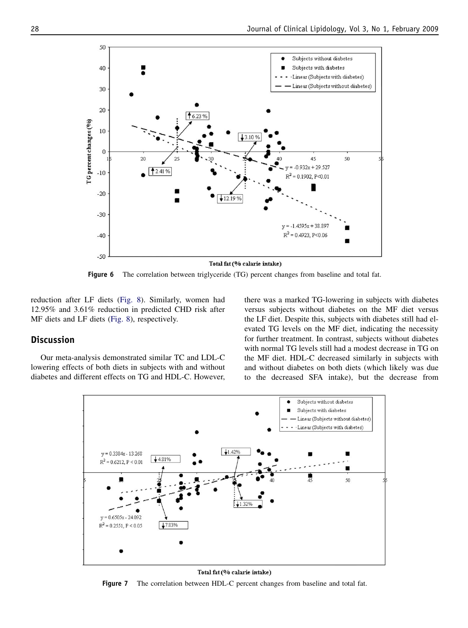<span id="page-9-0"></span>

Figure 6 The correlation between triglyceride (TG) percent changes from baseline and total fat.

reduction after LF diets ([Fig. 8](#page-10-0)). Similarly, women had 12.95% and 3.61% reduction in predicted CHD risk after MF diets and LF diets [\(Fig. 8](#page-10-0)), respectively.

## **Discussion**

Our meta-analysis demonstrated similar TC and LDL-C lowering effects of both diets in subjects with and without diabetes and different effects on TG and HDL-C. However, there was a marked TG-lowering in subjects with diabetes versus subjects without diabetes on the MF diet versus the LF diet. Despite this, subjects with diabetes still had elevated TG levels on the MF diet, indicating the necessity for further treatment. In contrast, subjects without diabetes with normal TG levels still had a modest decrease in TG on the MF diet. HDL-C decreased similarly in subjects with and without diabetes on both diets (which likely was due to the decreased SFA intake), but the decrease from



Total fat (% calarie intake)

Figure 7 The correlation between HDL-C percent changes from baseline and total fat.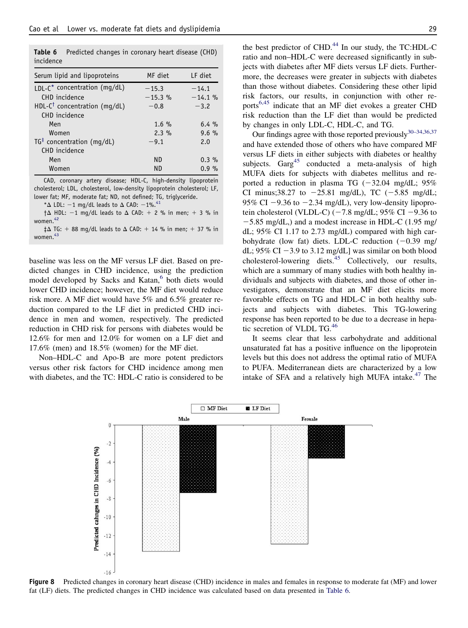<span id="page-10-0"></span>Table 6 Predicted changes in coronary heart disease (CHD) incidence

| Serum lipid and lipoproteins                | MF diet    | LF diet  |
|---------------------------------------------|------------|----------|
| $ D $ -C <sup>*</sup> concentration (mq/dL) | $-15.3$    | $-14.1$  |
| CHD incidence                               | $-15.3 \%$ | $-14.1%$ |
| HDL-C <sup>†</sup> concentration (mg/dL)    | $-0.8$     | $-3.2$   |
| CHD incidence                               |            |          |
| Men                                         | $1.6\%$    | $6.4\%$  |
| Women                                       | 2.3%       | $9.6\%$  |
| $TG^{\ddagger}$ concentration (mg/dL)       | $-9.1$     | 2.0      |
| CHD incidence                               |            |          |
| Men                                         | ND.        | $0.3 \%$ |
| Women                                       | ND.        | $0.9 \%$ |

CAD, coronary artery disease; HDL-C, high-density lipoprotein cholesterol; LDL, cholesterol, low-density lipoprotein cholesterol; LF, lower fat; MF, moderate fat; ND, not defined; TG, triglyceride.

\* $\Delta$  LDL: -1 mg/dL leads to  $\Delta$  CAD: -1%.<sup>41</sup>

 $\uparrow \Delta$  HDL: -1 mg/dL leads to  $\Delta$  CAD: + 2 % in men; + 3 % in women.<sup>[42](#page-12-0)</sup>

 $\uparrow \Delta$  TG: + 88 mg/dL leads to  $\Delta$  CAD: + 14 % in men; + 37 % in women.<sup>[43](#page-12-0)</sup>

baseline was less on the MF versus LF diet. Based on predicted changes in CHD incidence, using the prediction model developed by Sacks and Katan,<sup>[6](#page-11-0)</sup> both diets would lower CHD incidence; however, the MF diet would reduce risk more. A MF diet would have 5% and 6.5% greater reduction compared to the LF diet in predicted CHD incidence in men and women, respectively. The predicted reduction in CHD risk for persons with diabetes would be 12.6% for men and 12.0% for women on a LF diet and 17.6% (men) and 18.5% (women) for the MF diet.

Non–HDL-C and Apo-B are more potent predictors versus other risk factors for CHD incidence among men with diabetes, and the TC: HDL-C ratio is considered to be

the best predictor of CHD.<sup>[44](#page-12-0)</sup> In our study, the TC:HDL-C ratio and non–HDL-C were decreased significantly in subjects with diabetes after MF diets versus LF diets. Furthermore, the decreases were greater in subjects with diabetes than those without diabetes. Considering these other lipid risk factors, our results, in conjunction with other reports[6,45](#page-11-0) indicate that an MF diet evokes a greater CHD risk reduction than the LF diet than would be predicted by changes in only LDL-C, HDL-C, and TG.

Our findings agree with those reported previously $30-34,36,37$ and have extended those of others who have compared MF versus LF diets in either subjects with diabetes or healthy subjects.  $Garg^{45}$  $Garg^{45}$  $Garg^{45}$  conducted a meta-analysis of high MUFA diets for subjects with diabetes mellitus and reported a reduction in plasma TG  $(-32.04 \text{ mg/dL}; 95\%)$ CI minus;38.27 to  $-25.81$  mg/dL), TC ( $-5.85$  mg/dL; 95% CI  $-9.36$  to  $-2.34$  mg/dL), very low-density lipoprotein cholesterol (VLDL-C) ( $-7.8$  mg/dL; 95% CI  $-9.36$  to  $-5.85$  mg/dL,) and a modest increase in HDL-C (1.95 mg/ dL; 95% CI 1.17 to 2.73 mg/dL) compared with high carbohydrate (low fat) diets. LDL-C reduction  $(-0.39 \text{ mg}/$ dL; 95% CI  $-3.9$  to 3.12 mg/dL] was similar on both blood cholesterol-lowering diets.<sup>[45](#page-12-0)</sup> Collectively, our results, which are a summary of many studies with both healthy individuals and subjects with diabetes, and those of other investigators, demonstrate that an MF diet elicits more favorable effects on TG and HDL-C in both healthy subjects and subjects with diabetes. This TG-lowering response has been reported to be due to a decrease in hepa-tic secretion of VLDL TG.<sup>[46](#page-12-0)</sup>

It seems clear that less carbohydrate and additional unsaturated fat has a positive influence on the lipoprotein levels but this does not address the optimal ratio of MUFA to PUFA. Mediterranean diets are characterized by a low intake of SFA and a relatively high MUFA intake.<sup>[47](#page-12-0)</sup> The



Figure 8 Predicted changes in coronary heart disease (CHD) incidence in males and females in response to moderate fat (MF) and lower fat (LF) diets. The predicted changes in CHD incidence was calculated based on data presented in Table 6.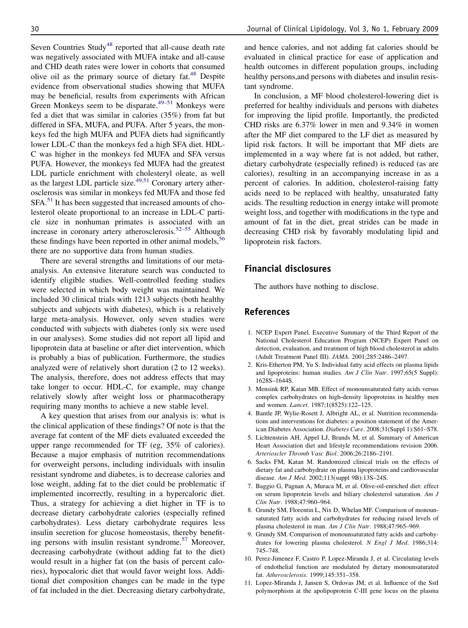<span id="page-11-0"></span>Seven Countries Study<sup>[48](#page-12-0)</sup> reported that all-cause death rate was negatively associated with MUFA intake and all-cause and CHD death rates were lower in cohorts that consumed olive oil as the primary source of dietary fat.<sup>[48](#page-12-0)</sup> Despite evidence from observational studies showing that MUFA may be beneficial, results from experiments with African Green Monkeys seem to be disparate.<sup>[49–51](#page-12-0)</sup> Monkeys were fed a diet that was similar in calories (35%) from fat but differed in SFA, MUFA, and PUFA. After 5 years, the monkeys fed the high MUFA and PUFA diets had significantly lower LDL-C than the monkeys fed a high SFA diet. HDL-C was higher in the monkeys fed MUFA and SFA versus PUFA. However, the monkeys fed MUFA had the greatest LDL particle enrichment with cholesteryl oleate, as well as the largest LDL particle size. $49,51$  Coronary artery atherosclerosis was similar in monkeys fed MUFA and those fed SFA.<sup>[51](#page-12-0)</sup> It has been suggested that increased amounts of cholesterol oleate proportional to an increase in LDL-C particle size in nonhuman primates is associated with an increase in coronary artery atherosclerosis.[52–55](#page-12-0) Although these findings have been reported in other animal models,<sup>[56](#page-13-0)</sup> there are no supportive data from human studies.

There are several strengths and limitations of our metaanalysis. An extensive literature search was conducted to identify eligible studies. Well-controlled feeding studies were selected in which body weight was maintained. We included 30 clinical trials with 1213 subjects (both healthy subjects and subjects with diabetes), which is a relatively large meta-analysis. However, only seven studies were conducted with subjects with diabetes (only six were used in our analyses). Some studies did not report all lipid and lipoprotein data at baseline or after diet intervention, which is probably a bias of publication. Furthermore, the studies analyzed were of relatively short duration (2 to 12 weeks). The analysis, therefore, does not address effects that may take longer to occur. HDL-C, for example, may change relatively slowly after weight loss or pharmacotherapy requiring many months to achieve a new stable level.

A key question that arises from our analysis is: what is the clinical application of these findings? Of note is that the average fat content of the MF diets evaluated exceeded the upper range recommended for TF (eg, 35% of calories). Because a major emphasis of nutrition recommendations for overweight persons, including individuals with insulin resistant syndrome and diabetes, is to decrease calories and lose weight, adding fat to the diet could be problematic if implemented incorrectly, resulting in a hypercaloric diet. Thus, a strategy for achieving a diet higher in TF is to decrease dietary carbohydrate calories (especially refined carbohydrates). Less dietary carbohydrate requires less insulin secretion for glucose homeostasis, thereby benefit-ing persons with insulin resistant syndrome.<sup>[57](#page-13-0)</sup> Moreover, decreasing carbohydrate (without adding fat to the diet) would result in a higher fat (on the basis of percent calories), hypocaloric diet that would favor weight loss. Additional diet composition changes can be made in the type of fat included in the diet. Decreasing dietary carbohydrate,

and hence calories, and not adding fat calories should be evaluated in clinical practice for ease of application and health outcomes in different population groups, including healthy persons,and persons with diabetes and insulin resistant syndrome.

In conclusion, a MF blood cholesterol-lowering diet is preferred for healthy individuals and persons with diabetes for improving the lipid profile. Importantly, the predicted CHD risks are 6.37% lower in men and 9.34% in women after the MF diet compared to the LF diet as measured by lipid risk factors. It will be important that MF diets are implemented in a way where fat is not added, but rather, dietary carbohydrate (especially refined) is reduced (as are calories), resulting in an accompanying increase in as a percent of calories. In addition, cholesterol-raising fatty acids need to be replaced with healthy, unsaturated fatty acids. The resulting reduction in energy intake will promote weight loss, and together with modifications in the type and amount of fat in the diet, great strides can be made in decreasing CHD risk by favorably modulating lipid and lipoprotein risk factors.

## Financial disclosures

The authors have nothing to disclose.

#### References

- 1. NCEP Expert Panel. Executive Summary of the Third Report of the National Cholesterol Education Program (NCEP) Expert Panel on detection, evaluation, and treatment of high blood cholesterol in adults (Adult Treatment Panel III). JAMA. 2001;285:2486–2497.
- 2. Kris-Etherton PM, Yu S. Individual fatty acid effects on plasma lipids and lipoproteins: human studies. Am J Clin Nutr. 1997;65(5 Suppl): 1628S–1644S.
- 3. Mensink RP, Katan MB. Effect of monounsaturated fatty acids versus complex carbohydrates on high-density lipoproteins in healthy men and women. Lancet. 1987;1(8525):122–125.
- 4. Bantle JP, Wylie-Rosett J, Albright AL, et al. Nutrition recommendations and interventions for diabetes: a position statement of the American Diabetes Association. Diabetes Care. 2008;31(Suppl 1):S61-S78.
- 5. Lichtenstein AH, Appel LJ, Brands M, et al. Summary of American Heart Association diet and lifestyle recommendations revision 2006. Arterioscler Thromb Vasc Biol. 2006;26:2186–2191.
- 6. Sacks FM, Katan M. Randomized clinical trials on the effects of dietary fat and carbohydrate on plasma lipoproteins and cardiovascular disease. Am J Med. 2002;113(suppl 9B):13S–24S.
- 7. Baggio G, Pagnan A, Muraca M, et al. Olive-oil-enriched diet: effect on serum lipoprotein levels and biliary cholesterol saturation. Am J Clin Nutr. 1988;47:960–964.
- 8. Grundy SM, Florentin L, Nix D, Whelan MF. Comparison of monounsaturated fatty acids and carbohydrates for reducing raised levels of plasma cholesterol in man. Am J Clin Nutr. 1988;47:965-969.
- 9. Grundy SM. Comparison of monounsaturated fatty acids and carbohydrates for lowering plasma cholesterol. N Engl J Med. 1986;314: 745–748.
- 10. Perez-Jimenez F, Castro P, Lopez-Miranda J, et al. Circulating levels of endothelial function are modulated by dietary monounsaturated fat. Atherosclerosis. 1999;145:351–358.
- 11. Lopez-Miranda J, Jansen S, Ordovas JM, et al. Influence of the SstI polymorphism at the apolipoprotein C-III gene locus on the plasma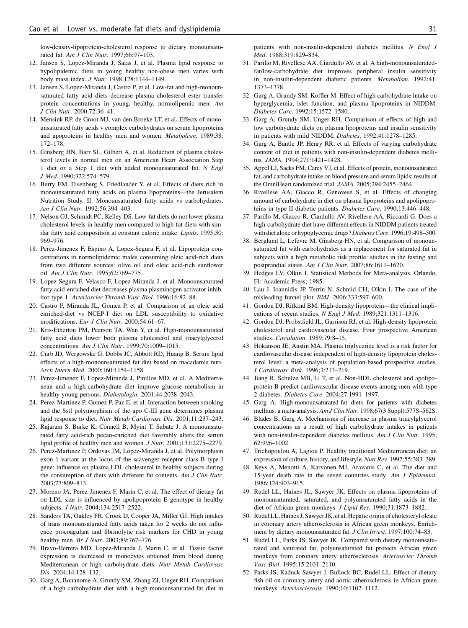<span id="page-12-0"></span>low-density-lipoprotein-cholesterol response to dietary monounsaturated fat. Am J Clin Nutr. 1997;66:97–103.

- 12. Jansen S, Lopez-Miranda J, Salas J, et al. Plasma lipid response to hypolipidemic diets in young healthy non-obese men varies with body mass index. J Nutr. 1998;128:1144–1149.
- 13. Jansen S, Lopez-Miranda J, Castro P, et al. Low-fat and high-monounsaturated fatty acid diets decrease plasma cholesterol ester transfer protein concentrations in young, healthy, normolipemic men. Am J Clin Nutr. 2000;72:36–41.
- 14. Mensink RP, de Groot MJ, van den Broeke LT, et al. Effects of monounsaturated fatty acids v complex carbohydrates on serum lipoproteins and apoproteins in healthy men and women. Metabolism. 1989;38: 172–178.
- 15. Ginsberg HN, Barr SL, Gilbert A, et al. Reduction of plasma cholesterol levels in normal men on an American Heart Association Step 1 diet or a Step 1 diet with added monounsaturated fat. N Engl J Med. 1990;322:574–579.
- 16. Berry EM, Eisenberg S, Friedlander Y, et al. Effects of diets rich in monounsaturated fatty acids on plasma lipoproteins—the Jerusalem Nutrition Study. II. Monounsaturated fatty acids vs carbohydrates. Am J Clin Nutr. 1992;56:394–403.
- 17. Nelson GJ, Schmidt PC, Kelley DS. Low-fat diets do not lower plasma cholesterol levels in healthy men compared to high-fat diets with similar fatty acid composition at constant caloric intake. Lipids. 1995;30: 969–976.
- 18. Perez-Jimenez F, Espino A, Lopez-Segura F, et al. Lipoprotein concentrations in normolipidemic males consuming oleic acid-rich diets from two different sources: olive oil and oleic acid-rich sunflower oil. Am J Clin Nutr. 1995;62:769–775.
- 19. Lopez-Segura F, Velasco F, Lopez-Miranda J, et al. Monounsaturated fatty acid-enriched diet decreases plasma plasminogen activator inhibitor type 1. Arterioscler Thromb Vasc Biol. 1996;16:82–88.
- 20. Castro P, Miranda JL, Gomez P, et al. Comparison of an oleic acid enriched-diet vs NCEP-I diet on LDL susceptibility to oxidative modifications. Eur J Clin Nutr. 2000;54:61–67.
- 21. Kris-Etherton PM, Pearson TA, Wan Y, et al. High-monounsaturated fatty acid diets lower both plasma cholesterol and triacylglycerol concentrations. Am J Clin Nutr. 1999;70:1009–1015.
- 22. Curb JD, Wergowske G, Dobbs JC, Abbott RD, Huang B. Serum lipid effects of a high-monounsaturated fat diet based on macadamia nuts. Arch Intern Med. 2000;160:1154–1158.
- 23. Perez-Jimenez F, Lopez-Miranda J, Pinillos MD, et al. A Mediterranean and a high-carbohydrate diet improve glucose metabolism in healthy young persons. Diabetologia. 2001;44:2038-2043.
- 24. Perez-Martinez P, Gomez P, Paz E, et al. Interaction between smoking and the Sstl polymorphism of the apo C-III gene determines plasma lipid response to diet. Nutr Metab Cardiovasc Dis. 2001;11:237–243.
- 25. Rajaram S, Burke K, Connell B, Myint T, Sabate J. A monounsaturated fatty acid-rich pecan-enriched diet favorably alters the serum lipid profile of healthy men and women. J Nutr. 2001;131:2275–2279.
- 26. Perez-Martinez P, Ordovas JM, Lopez-Miranda J, et al. Polymorphism exon 1 variant at the locus of the scavenger receptor class B type I gene: influence on plasma LDL cholesterol in healthy subjects during the consumption of diets with different fat contents. Am J Clin Nutr. 2003;77:809–813.
- 27. Moreno JA, Perez-Jimenez F, Marin C, et al. The effect of dietary fat on LDL size is influenced by apolipoprotein E genotype in healthy subjects. J Nutr. 2004;134:2517–2522.
- 28. Sanders TA, Oakley FR, Crook D, Cooper JA, Miller GJ. High intakes of trans monounsaturated fatty acids taken for 2 weeks do not influence procoagulant and fibrinolytic risk markers for CHD in young healthy men. *Br J Nutr.* 2003;89:767-776.
- 29. Bravo-Herrera MD, Lopez-Miranda J, Marin C, et al. Tissue factor expression is decreased in monocytes obtained from blood during Mediterranean or high carbohydrate diets. Nutr Metab Cardiovasc Dis. 2004;14:128–132.
- 30. Garg A, Bonanome A, Grundy SM, Zhang ZJ, Unger RH. Comparison of a high-carbohydrate diet with a high-monounsaturated-fat diet in

patients with non-insulin-dependent diabetes mellitus. N Engl J Med. 1988;319:829–834.

- 31. Parillo M, Rivellese AA, Ciardullo AV, et al. A high-monounsaturatedfat/low-carbohydrate diet improves peripheral insulin sensitivity in non-insulin-dependent diabetic patients. Metabolism. 1992;41: 1373–1378.
- 32. Garg A, Grundy SM, Koffler M. Effect of high carbohydrate intake on hyperglycemia, islet function, and plasma lipoproteins in NIDDM. Diabetes Care. 1992;15:1572–1580.
- 33. Garg A, Grundy SM, Unger RH. Comparison of effects of high and low carbohydrate diets on plasma lipoproteins and insulin sensitivity in patients with mild NIDDM. Diabetes. 1992;41:1278–1285.
- 34. Garg A, Bantle JP, Henry RR, et al. Effects of varying carbohydrate content of diet in patients with non-insulin-dependent diabetes mellitus. JAMA. 1994;271:1421–1428.
- 35. Appel LJ, Sacks FM, Carey VJ, et al. Effects of protein, monounsaturated fat, and carbohydrate intake on blood pressure and serum lipids: results of the OmniHeart randomized trial. JAMA. 2005;294:2455–2464.
- 36. Rivellese AA, Giacco R, Genovese S, et al. Effects of changing amount of carbohydrate in diet on plasma lipoproteins and apolipoproteins in type II diabetic patients. Diabetes Care. 1990;13:446–448.
- 37. Parillo M, Giacco R, Ciardullo AV, Rivellese AA, Riccardi G. Does a high-carbohydrate diet have different effects in NIDDM patients treated with diet alone or hypoglycemic drugs? Diabetes Care. 1996;19:498-500.
- 38. Berglund L, Lefevre M, Ginsberg HN, et al. Comparison of monounsaturated fat with carbohydrates as a replacement for saturated fat in subjects with a high metabolic risk profile: studies in the fasting and postprandial states. Am J Clin Nutr. 2007;86:1611–1620.
- 39. Hedges LV, Olkin I. Statistical Methods for Meta-analysis. Orlando, Fl: Academic Press; 1985.
- 40. Lau J, Ioannidis JP, Terrin N, Schmid CH, Olkin I. The case of the misleading funnel plot. BMJ. 2006;333:597–600.
- 41. Gordon DJ, Rifkind BM. High-density lipoprotein—the clinical implications of recent studies. N Engl J Med. 1989;321:1311-1316.
- 42. Gordon DJ, Probstfield JL, Garrison RJ, et al. High-density lipoprotein cholesterol and cardiovascular disease. Four prospective American studies. Circulation. 1989;79:8–15.
- 43. Hokanson JE, Austin MA. Plasma triglyceride level is a risk factor for cardiovascular disease independent of high-density lipoprotein cholesterol level: a meta-analysis of population-based prospective studies. J Cardiovasc Risk. 1996;3:213–219.
- 44. Jiang R, Schulze MB, Li T, et al. Non-HDL cholesterol and apolipoprotein B predict cardiovascular disease events among men with type 2 diabetes. Diabetes Care. 2004;27:1991–1997.
- 45. Garg A. High-monounsaturated-fat diets for patients with diabetes mellitus: a meta-analysis. Am J Clin Nutr. 1998;67(3 Suppl):577S-582S.
- 46. Blades B, Garg A. Mechanisms of increase in plasma triacylglycerol concentrations as a result of high carbohydrate intakes in patients with non-insulin-dependent diabetes mellitus. Am J Clin Nutr. 1995; 62:996–1002.
- 47. Trichopoulou A, Lagiou P. Healthy traditional Mediterranean diet: an expression of culture, history, and lifestyle. Nutr Rev. 1997;55:383–389.
- 48. Keys A, Menotti A, Karvonen MJ, Aravanis C, et al. The diet and 15-year death rate in the seven countries study. Am J Epidemiol. 1986;124:903–915.
- 49. Rudel LL, Haines JL, Sawyer JK. Effects on plasma lipoproteins of monounsaturated, saturated, and polyunsaturated fatty acids in the diet of African green monkeys. J Lipid Res. 1990;31:1873–1882.
- 50. Rudel LL, Haines J, Sawyer JK, et al. Hepatic origin of cholesteryl oleate in coronary artery atherosclerosis in African green monkeys. Enrichment by dietary monounsaturated fat. J Clin Invest. 1997;100:74-83.
- 51. Rudel LL, Parks JS, Sawyer JK. Compared with dietary monounsaturated and saturated fat, polyunsaturated fat protects African green monkeys from coronary artery atherosclerosis. Arterioscler Thromb Vasc Biol. 1995;15:2101–2110.
- 52. Parks JS, Kaduck-Sawyer J, Bullock BC, Rudel LL. Effect of dietary fish oil on coronary artery and aortic atherosclerosis in African green monkeys. Arteriosclerosis. 1990;10:1102–1112.